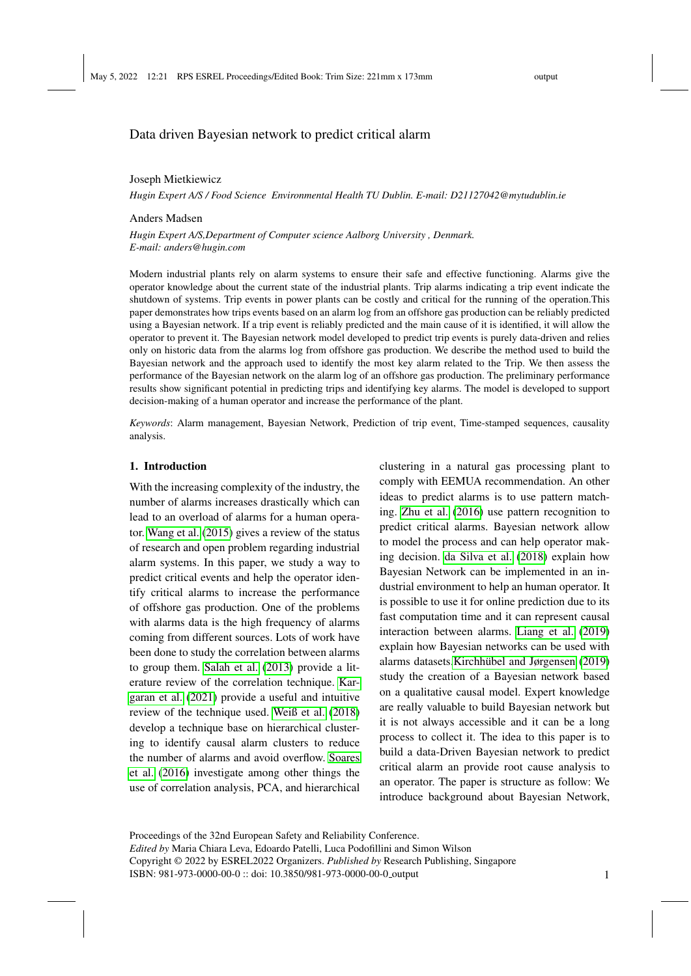## Data driven Bayesian network to predict critical alarm

#### Joseph Mietkiewicz

*Hugin Expert A/S / Food Science Environmental Health TU Dublin. E-mail: D21127042@mytudublin.ie*

#### Anders Madsen

*Hugin Expert A/S,Department of Computer science Aalborg University , Denmark. E-mail: anders@hugin.com*

Modern industrial plants rely on alarm systems to ensure their safe and effective functioning. Alarms give the operator knowledge about the current state of the industrial plants. Trip alarms indicating a trip event indicate the shutdown of systems. Trip events in power plants can be costly and critical for the running of the operation.This paper demonstrates how trips events based on an alarm log from an offshore gas production can be reliably predicted using a Bayesian network. If a trip event is reliably predicted and the main cause of it is identified, it will allow the operator to prevent it. The Bayesian network model developed to predict trip events is purely data-driven and relies only on historic data from the alarms log from offshore gas production. We describe the method used to build the Bayesian network and the approach used to identify the most key alarm related to the Trip. We then assess the performance of the Bayesian network on the alarm log of an offshore gas production. The preliminary performance results show significant potential in predicting trips and identifying key alarms. The model is developed to support decision-making of a human operator and increase the performance of the plant.

*Keywords*: Alarm management, Bayesian Network, Prediction of trip event, Time-stamped sequences, causality analysis.

#### 1. Introduction

With the increasing complexity of the industry, the number of alarms increases drastically which can lead to an overload of alarms for a human operator. [Wang et al.](#page-5-0) [\(2015\)](#page-5-0) gives a review of the status of research and open problem regarding industrial alarm systems. In this paper, we study a way to predict critical events and help the operator identify critical alarms to increase the performance of offshore gas production. One of the problems with alarms data is the high frequency of alarms coming from different sources. Lots of work have been done to study the correlation between alarms to group them. [Salah et al.](#page-5-1) [\(2013\)](#page-5-1) provide a literature review of the correlation technique. [Kar](#page-5-2)[garan et al.](#page-5-2) [\(2021\)](#page-5-2) provide a useful and intuitive review of the technique used. [Weiß et al.](#page-5-3) [\(2018\)](#page-5-3) develop a technique base on hierarchical clustering to identify causal alarm clusters to reduce the number of alarms and avoid overflow. [Soares](#page-5-4) [et al.](#page-5-4) [\(2016\)](#page-5-4) investigate among other things the use of correlation analysis, PCA, and hierarchical

clustering in a natural gas processing plant to comply with EEMUA recommendation. An other ideas to predict alarms is to use pattern matching. [Zhu et al.](#page-5-5) [\(2016\)](#page-5-5) use pattern recognition to predict critical alarms. Bayesian network allow to model the process and can help operator making decision. [da Silva et al.](#page-5-6) [\(2018\)](#page-5-6) explain how Bayesian Network can be implemented in an industrial environment to help an human operator. It is possible to use it for online prediction due to its fast computation time and it can represent causal interaction between alarms. [Liang et al.](#page-5-7) [\(2019\)](#page-5-7) explain how Bayesian networks can be used with alarms datasets.Kirchhübel and Jørgensen [\(2019\)](#page-5-8) study the creation of a Bayesian network based on a qualitative causal model. Expert knowledge are really valuable to build Bayesian network but it is not always accessible and it can be a long process to collect it. The idea to this paper is to build a data-Driven Bayesian network to predict critical alarm an provide root cause analysis to an operator. The paper is structure as follow: We introduce background about Bayesian Network,

Proceedings of the 32nd European Safety and Reliability Conference.

*Edited by* Maria Chiara Leva, Edoardo Patelli, Luca Podofillini and Simon Wilson

Copyright © 2022 by ESREL2022 Organizers. *Published by* Research Publishing, Singapore ISBN: 981-973-0000-00-0 :: doi: 10.3850/981-973-0000-00-0 output 1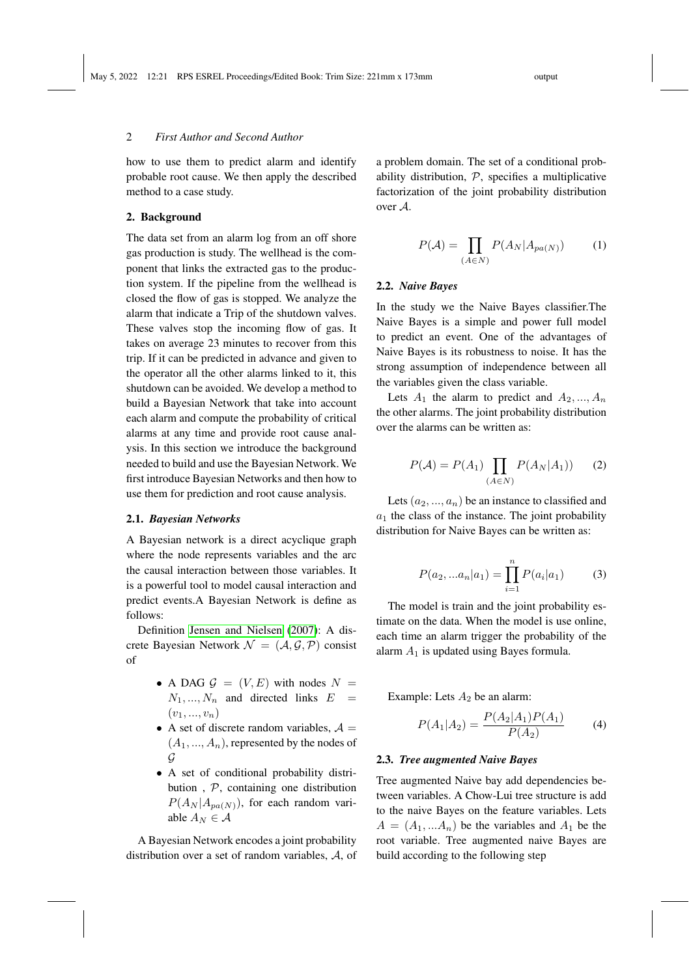### 2 *First Author and Second Author*

how to use them to predict alarm and identify probable root cause. We then apply the described method to a case study.

#### 2. Background

The data set from an alarm log from an off shore gas production is study. The wellhead is the component that links the extracted gas to the production system. If the pipeline from the wellhead is closed the flow of gas is stopped. We analyze the alarm that indicate a Trip of the shutdown valves. These valves stop the incoming flow of gas. It takes on average 23 minutes to recover from this trip. If it can be predicted in advance and given to the operator all the other alarms linked to it, this shutdown can be avoided. We develop a method to build a Bayesian Network that take into account each alarm and compute the probability of critical alarms at any time and provide root cause analysis. In this section we introduce the background needed to build and use the Bayesian Network. We first introduce Bayesian Networks and then how to use them for prediction and root cause analysis.

#### 2.1. *Bayesian Networks*

A Bayesian network is a direct acyclique graph where the node represents variables and the arc the causal interaction between those variables. It is a powerful tool to model causal interaction and predict events.A Bayesian Network is define as follows:

Definition [Jensen and Nielsen](#page-5-9) [\(2007\)](#page-5-9): A discrete Bayesian Network  $\mathcal{N} = (\mathcal{A}, \mathcal{G}, \mathcal{P})$  consist of

- A DAG  $G = (V, E)$  with nodes  $N =$  $N_1, ..., N_n$  and directed links  $E =$  $(v_1, ..., v_n)$
- A set of discrete random variables,  $A =$  $(A_1, ..., A_n)$ , represented by the nodes of  $\mathcal G$
- A set of conditional probability distribution , P, containing one distribution  $P(A_N | A_{pa(N)})$ , for each random variable  $A_N \in \mathcal{A}$

A Bayesian Network encodes a joint probability distribution over a set of random variables, A, of a problem domain. The set of a conditional probability distribution,  $P$ , specifies a multiplicative factorization of the joint probability distribution over A.

$$
P(\mathcal{A}) = \prod_{(A \in N)} P(A_N | A_{pa(N)}) \tag{1}
$$

#### 2.2. *Naive Bayes*

In the study we the Naive Bayes classifier.The Naive Bayes is a simple and power full model to predict an event. One of the advantages of Naive Bayes is its robustness to noise. It has the strong assumption of independence between all the variables given the class variable.

Lets  $A_1$  the alarm to predict and  $A_2, ..., A_n$ the other alarms. The joint probability distribution over the alarms can be written as:

$$
P(\mathcal{A}) = P(A_1) \prod_{(A \in N)} P(A_N | A_1) \tag{2}
$$

Lets  $(a_2, ..., a_n)$  be an instance to classified and  $a_1$  the class of the instance. The joint probability distribution for Naive Bayes can be written as:

$$
P(a_2,...a_n|a_1) = \prod_{i=1}^n P(a_i|a_1)
$$
 (3)

The model is train and the joint probability estimate on the data. When the model is use online, each time an alarm trigger the probability of the alarm  $A_1$  is updated using Bayes formula.

Example: Lets  $A_2$  be an alarm:

$$
P(A_1|A_2) = \frac{P(A_2|A_1)P(A_1)}{P(A_2)}\tag{4}
$$

#### 2.3. *Tree augmented Naive Bayes*

Tree augmented Naive bay add dependencies between variables. A Chow-Lui tree structure is add to the naive Bayes on the feature variables. Lets  $A = (A_1, \dots, A_n)$  be the variables and  $A_1$  be the root variable. Tree augmented naive Bayes are build according to the following step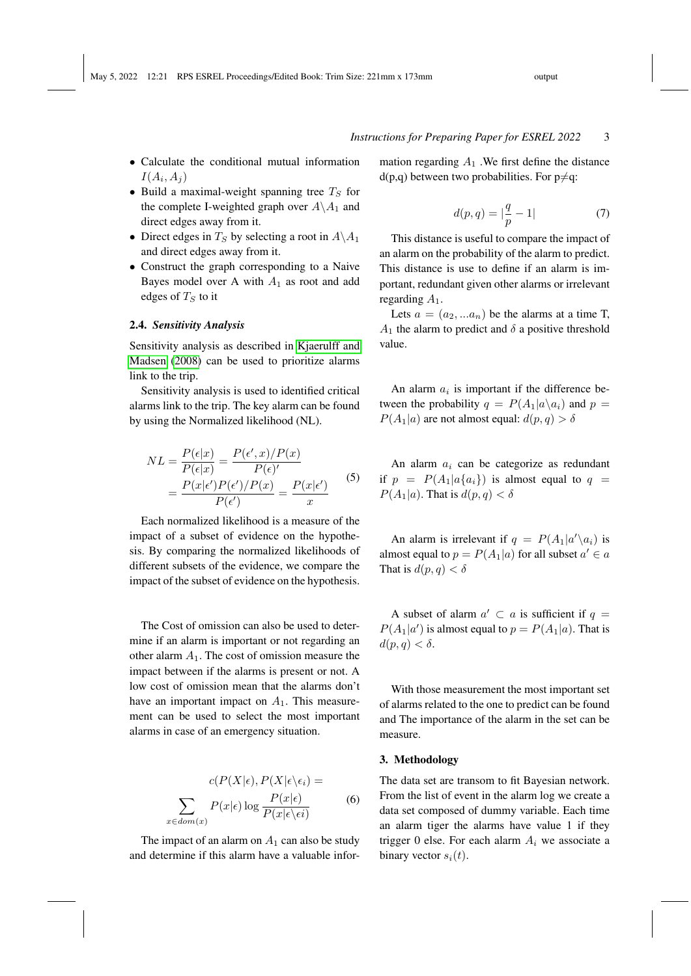#### *Instructions for Preparing Paper for ESREL 2022* 3

- Calculate the conditional mutual information  $I(A_i, A_j)$
- Build a maximal-weight spanning tree  $T<sub>S</sub>$  for the complete I-weighted graph over  $A \setminus A_1$  and direct edges away from it.
- Direct edges in  $T<sub>S</sub>$  by selecting a root in  $A\A_1$ and direct edges away from it.
- Construct the graph corresponding to a Naive Bayes model over A with  $A_1$  as root and add edges of  $T_S$  to it

#### 2.4. *Sensitivity Analysis*

Sensitivity analysis as described in [Kjaerulff and](#page-5-10) [Madsen](#page-5-10) [\(2008\)](#page-5-10) can be used to prioritize alarms link to the trip.

Sensitivity analysis is used to identified critical alarms link to the trip. The key alarm can be found by using the Normalized likelihood (NL).

$$
NL = \frac{P(\epsilon|x)}{P(\epsilon|x)} = \frac{P(\epsilon', x)/P(x)}{P(\epsilon)'} = \frac{P(x|\epsilon')P(\epsilon')/P(x)}{P(\epsilon')} = \frac{P(x|\epsilon')}{x}
$$
(5)

Each normalized likelihood is a measure of the impact of a subset of evidence on the hypothesis. By comparing the normalized likelihoods of different subsets of the evidence, we compare the impact of the subset of evidence on the hypothesis.

The Cost of omission can also be used to determine if an alarm is important or not regarding an other alarm  $A_1$ . The cost of omission measure the impact between if the alarms is present or not. A low cost of omission mean that the alarms don't have an important impact on  $A_1$ . This measurement can be used to select the most important alarms in case of an emergency situation.

$$
c(P(X|\epsilon), P(X|\epsilon \setminus \epsilon_i) =
$$

$$
\sum_{x \in dom(x)} P(x|\epsilon) \log \frac{P(x|\epsilon)}{P(x|\epsilon \setminus \epsilon i)} \tag{6}
$$

The impact of an alarm on  $A_1$  can also be study and determine if this alarm have a valuable infor-

mation regarding  $A_1$ . We first define the distance  $d(p,q)$  between two probabilities. For  $p \neq q$ :

$$
d(p,q) = |\frac{q}{p} - 1|
$$
 (7)

This distance is useful to compare the impact of an alarm on the probability of the alarm to predict. This distance is use to define if an alarm is important, redundant given other alarms or irrelevant regarding  $A_1$ .

Lets  $a = (a_2, ... a_n)$  be the alarms at a time T,  $A_1$  the alarm to predict and  $\delta$  a positive threshold value.

An alarm  $a_i$  is important if the difference between the probability  $q = P(A_1|a\backslash a_i)$  and  $p =$  $P(A_1|a)$  are not almost equal:  $d(p,q) > \delta$ 

An alarm  $a_i$  can be categorize as redundant if  $p = P(A_1|a\{a_i\})$  is almost equal to  $q =$  $P(A_1|a)$ . That is  $d(p,q) < \delta$ 

An alarm is irrelevant if  $q = P(A_1|a'\n a_i)$  is almost equal to  $p = P(A_1|a)$  for all subset  $a' \in a$ That is  $d(p, q) < \delta$ 

A subset of alarm  $a' \subset a$  is sufficient if  $q =$  $P(A_1|a')$  is almost equal to  $p = P(A_1|a)$ . That is  $d(p, q) < \delta.$ 

With those measurement the most important set of alarms related to the one to predict can be found and The importance of the alarm in the set can be measure.

#### 3. Methodology

The data set are transom to fit Bayesian network. From the list of event in the alarm log we create a data set composed of dummy variable. Each time an alarm tiger the alarms have value 1 if they trigger 0 else. For each alarm  $A_i$  we associate a binary vector  $s_i(t)$ .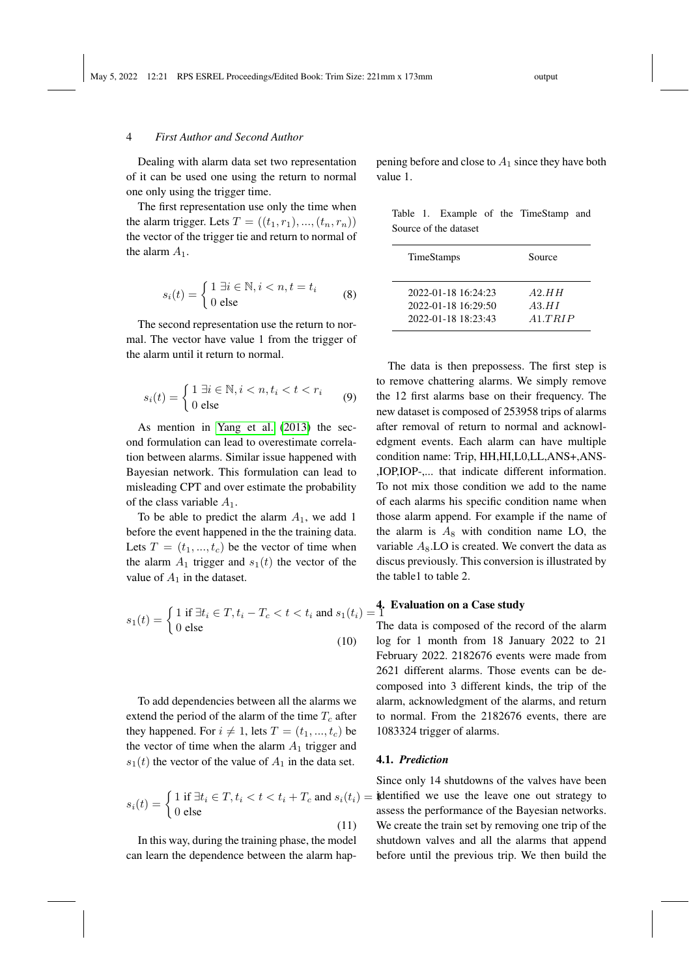#### 4 *First Author and Second Author*

Dealing with alarm data set two representation of it can be used one using the return to normal one only using the trigger time.

The first representation use only the time when the alarm trigger. Lets  $T = ((t_1, r_1), ..., (t_n, r_n))$ the vector of the trigger tie and return to normal of the alarm  $A_1$ .

$$
s_i(t) = \begin{cases} 1 \ \exists i \in \mathbb{N}, i < n, t = t_i \\ 0 \ \text{else} \end{cases} \tag{8}
$$

The second representation use the return to normal. The vector have value 1 from the trigger of the alarm until it return to normal.

$$
s_i(t) = \begin{cases} 1 \ \exists i \in \mathbb{N}, i < n, t_i < t < r_i \\ 0 \ \text{else} \end{cases} \tag{9}
$$

As mention in [Yang et al.](#page-5-11) [\(2013\)](#page-5-11) the second formulation can lead to overestimate correlation between alarms. Similar issue happened with Bayesian network. This formulation can lead to misleading CPT and over estimate the probability of the class variable  $A_1$ .

To be able to predict the alarm  $A_1$ , we add 1 before the event happened in the the training data. Lets  $T = (t_1, ..., t_c)$  be the vector of time when the alarm  $A_1$  trigger and  $s_1(t)$  the vector of the value of  $A_1$  in the dataset.

$$
s_1(t) = \begin{cases} 1 \text{ if } \exists t_i \in T, t_i - T_c < t < t_i \text{ and } s_1(t_i) = 1\\ 0 \text{ else} & T \end{cases}
$$
\n
$$
\tag{10} \quad \text{10}
$$

To add dependencies between all the alarms we extend the period of the alarm of the time  $T_c$  after they happened. For  $i \neq 1$ , lets  $T = (t_1, ..., t_c)$  be the vector of time when the alarm  $A_1$  trigger and  $s_1(t)$  the vector of the value of  $A_1$  in the data set.

$$
s_i(t) = \begin{cases} 1 \text{ if } \exists t_i \in T, t_i < t < t_i + T_c \text{ and } s_i(t_i) = \mathbf{1} \\ 0 \text{ else} \end{cases}
$$

In this way, during the training phase, the model can learn the dependence between the alarm happening before and close to  $A_1$  since they have both value 1.

|  |                       |  | Table 1. Example of the TimeStamp and |  |
|--|-----------------------|--|---------------------------------------|--|
|  | Source of the dataset |  |                                       |  |

| TimeStamps          | Source  |
|---------------------|---------|
| 2022-01-18 16:24:23 | A2.HH   |
| 2022-01-18 16:29:50 | A3.HI   |
| 2022-01-18 18:23:43 | A1.TRIP |

The data is then prepossess. The first step is to remove chattering alarms. We simply remove the 12 first alarms base on their frequency. The new dataset is composed of 253958 trips of alarms after removal of return to normal and acknowledgment events. Each alarm can have multiple condition name: Trip, HH,HI,L0,LL,ANS+,ANS- ,IOP,IOP-,... that indicate different information. To not mix those condition we add to the name of each alarms his specific condition name when those alarm append. For example if the name of the alarm is  $A_8$  with condition name LO, the variable  $A_8$ . LO is created. We convert the data as discus previously. This conversion is illustrated by the table1 to table 2.

# $=$  4. Evaluation on a Case study

The data is composed of the record of the alarm log for 1 month from 18 January 2022 to 21 February 2022. 2182676 events were made from 2621 different alarms. Those events can be decomposed into 3 different kinds, the trip of the alarm, acknowledgment of the alarms, and return to normal. From the 2182676 events, there are 1083324 trigger of alarms.

#### 4.1. *Prediction*

Since only 14 shutdowns of the valves have been identified we use the leave one out strategy to assess the performance of the Bayesian networks. We create the train set by removing one trip of the shutdown valves and all the alarms that append before until the previous trip. We then build the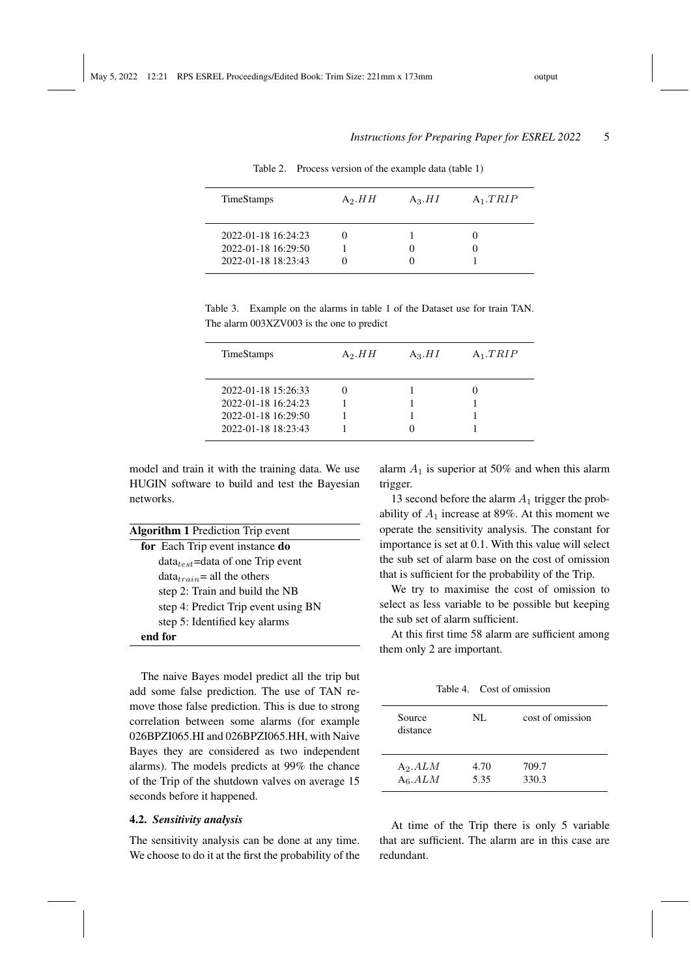## *Instructions for Preparing Paper for ESREL 2022* 5

| <b>TimeStamps</b><br>$A_3.HI$<br>$A_1.TRIP$<br>$A_2.HH$                           |  |
|-----------------------------------------------------------------------------------|--|
|                                                                                   |  |
| $2022 - 01 - 18$ 16:24:23<br>0<br>2022-01-18 16:29:50<br>0<br>2022-01-18 18:23:43 |  |
|                                                                                   |  |

Table 2. Process version of the example data (table 1)

| Table 3. Example on the alarms in table 1 of the Dataset use for train TAN. |  |  |  |  |
|-----------------------------------------------------------------------------|--|--|--|--|
| The alarm 003XZV003 is the one to predict                                   |  |  |  |  |

| <b>TimeStamps</b>   | A <sub>2</sub> . $HH$ | $A_3.HI$ | $A_1.TRIP$ |
|---------------------|-----------------------|----------|------------|
| 2022-01-18 15:26:33 |                       |          |            |
| 2022-01-18 16:24:23 |                       |          |            |
| 2022-01-18 16:29:50 |                       |          |            |
| 2022-01-18 18:23:43 |                       |          |            |

model and train it with the training data. We use HUGIN software to build and test the Bayesian networks.

| <b>Algorithm 1</b> Prediction Trip event |  |
|------------------------------------------|--|
| for Each Trip event instance do          |  |
| $data_{test}$ =data of one Trip event    |  |
| $data_{train}$ = all the others          |  |
| step 2: Train and build the NB           |  |
| step 4: Predict Trip event using BN      |  |
| step 5: Identified key alarms            |  |
| end for                                  |  |

The naive Bayes model predict all the trip but add some false prediction. The use of TAN remove those false prediction. This is due to strong correlation between some alarms (for example 026BPZI065.HI and 026BPZI065.HH, with Naive Bayes they are considered as two independent alarms). The models predicts at 99% the chance of the Trip of the shutdown valves on average 15 seconds before it happened.

#### 4.2. *Sensitivity analysis*

The sensitivity analysis can be done at any time. We choose to do it at the first the probability of the alarm  $A_1$  is superior at 50% and when this alarm trigger.

13 second before the alarm  $A_1$  trigger the probability of  $A_1$  increase at 89%. At this moment we operate the sensitivity analysis. The constant for importance is set at 0.1. With this value will select the sub set of alarm base on the cost of omission that is sufficient for the probability of the Trip.

We try to maximise the cost of omission to select as less variable to be possible but keeping the sub set of alarm sufficient.

At this first time 58 alarm are sufficient among them only 2 are important.

Table 4. Cost of omission

| Source<br>distance | NL   | cost of omission |
|--------------------|------|------------------|
| $A_2.ALM$          | 4.70 | 709.7            |
| $A_6.ALM$          | 5.35 | 330.3            |

At time of the Trip there is only 5 variable that are sufficient. The alarm are in this case are redundant.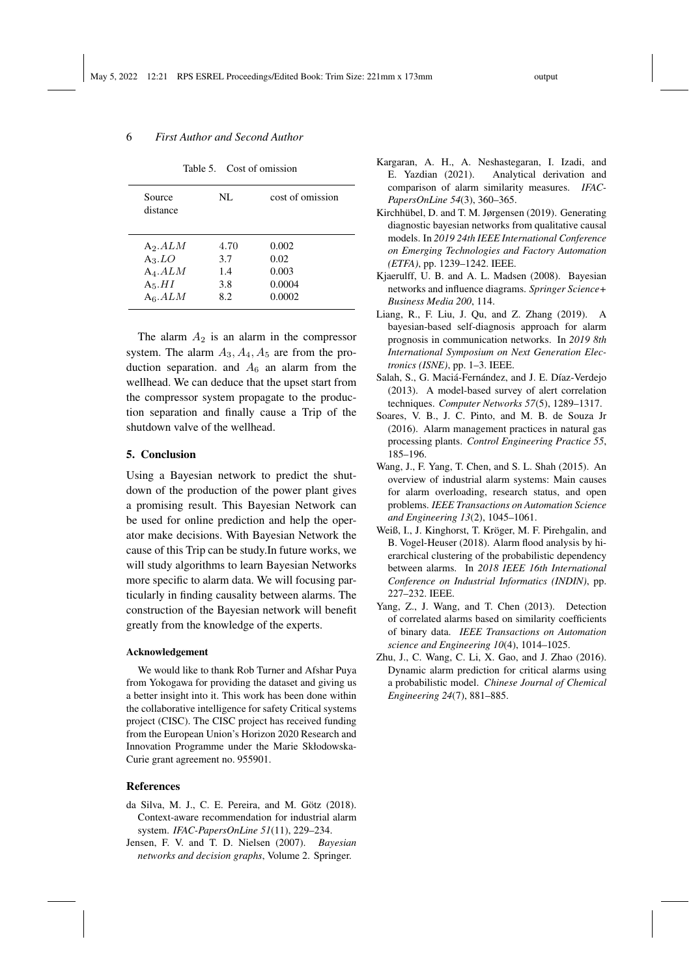## 6 *First Author and Second Author*

| Source<br>distance                                          | NL.                              | cost of omission                           |
|-------------------------------------------------------------|----------------------------------|--------------------------------------------|
| $A_2.ALM$<br>$A_3.LO$<br>$A_4.ALM$<br>$A_5.HI$<br>$A_6.ALM$ | 4.70<br>3.7<br>1.4<br>3.8<br>8.2 | 0.002<br>0.02<br>0.003<br>0.0004<br>0.0002 |
|                                                             |                                  |                                            |

The alarm  $A_2$  is an alarm in the compressor system. The alarm  $A_3$ ,  $A_4$ ,  $A_5$  are from the production separation. and  $A_6$  an alarm from the wellhead. We can deduce that the upset start from the compressor system propagate to the production separation and finally cause a Trip of the shutdown valve of the wellhead.

#### 5. Conclusion

Using a Bayesian network to predict the shutdown of the production of the power plant gives a promising result. This Bayesian Network can be used for online prediction and help the operator make decisions. With Bayesian Network the cause of this Trip can be study.In future works, we will study algorithms to learn Bayesian Networks more specific to alarm data. We will focusing particularly in finding causality between alarms. The construction of the Bayesian network will benefit greatly from the knowledge of the experts.

#### Acknowledgement

We would like to thank Rob Turner and Afshar Puya from Yokogawa for providing the dataset and giving us a better insight into it. This work has been done within the collaborative intelligence for safety Critical systems project (CISC). The CISC project has received funding from the European Union's Horizon 2020 Research and Innovation Programme under the Marie Skłodowska-Curie grant agreement no. 955901.

#### References

- <span id="page-5-6"></span>da Silva, M. J., C. E. Pereira, and M. Götz (2018). Context-aware recommendation for industrial alarm system. *IFAC-PapersOnLine 51*(11), 229–234.
- <span id="page-5-9"></span>Jensen, F. V. and T. D. Nielsen (2007). *Bayesian networks and decision graphs*, Volume 2. Springer.
- <span id="page-5-2"></span>Kargaran, A. H., A. Neshastegaran, I. Izadi, and E. Yazdian (2021). Analytical derivation and comparison of alarm similarity measures. *IFAC-PapersOnLine 54*(3), 360–365.
- <span id="page-5-8"></span>Kirchhübel, D. and T. M. Jørgensen (2019). Generating diagnostic bayesian networks from qualitative causal models. In *2019 24th IEEE International Conference on Emerging Technologies and Factory Automation (ETFA)*, pp. 1239–1242. IEEE.
- <span id="page-5-10"></span>Kjaerulff, U. B. and A. L. Madsen (2008). Bayesian networks and influence diagrams. *Springer Science+ Business Media 200*, 114.
- <span id="page-5-7"></span>Liang, R., F. Liu, J. Qu, and Z. Zhang (2019). A bayesian-based self-diagnosis approach for alarm prognosis in communication networks. In *2019 8th International Symposium on Next Generation Electronics (ISNE)*, pp. 1–3. IEEE.
- <span id="page-5-1"></span>Salah, S., G. Maciá-Fernández, and J. E. Díaz-Verdejo (2013). A model-based survey of alert correlation techniques. *Computer Networks 57*(5), 1289–1317.
- <span id="page-5-4"></span>Soares, V. B., J. C. Pinto, and M. B. de Souza Jr (2016). Alarm management practices in natural gas processing plants. *Control Engineering Practice 55*, 185–196.
- <span id="page-5-0"></span>Wang, J., F. Yang, T. Chen, and S. L. Shah (2015). An overview of industrial alarm systems: Main causes for alarm overloading, research status, and open problems. *IEEE Transactions on Automation Science and Engineering 13*(2), 1045–1061.
- <span id="page-5-3"></span>Weiß, I., J. Kinghorst, T. Kröger, M. F. Pirehgalin, and B. Vogel-Heuser (2018). Alarm flood analysis by hierarchical clustering of the probabilistic dependency between alarms. In *2018 IEEE 16th International Conference on Industrial Informatics (INDIN)*, pp. 227–232. IEEE.
- <span id="page-5-11"></span>Yang, Z., J. Wang, and T. Chen (2013). Detection of correlated alarms based on similarity coefficients of binary data. *IEEE Transactions on Automation science and Engineering 10*(4), 1014–1025.
- <span id="page-5-5"></span>Zhu, J., C. Wang, C. Li, X. Gao, and J. Zhao (2016). Dynamic alarm prediction for critical alarms using a probabilistic model. *Chinese Journal of Chemical Engineering 24*(7), 881–885.